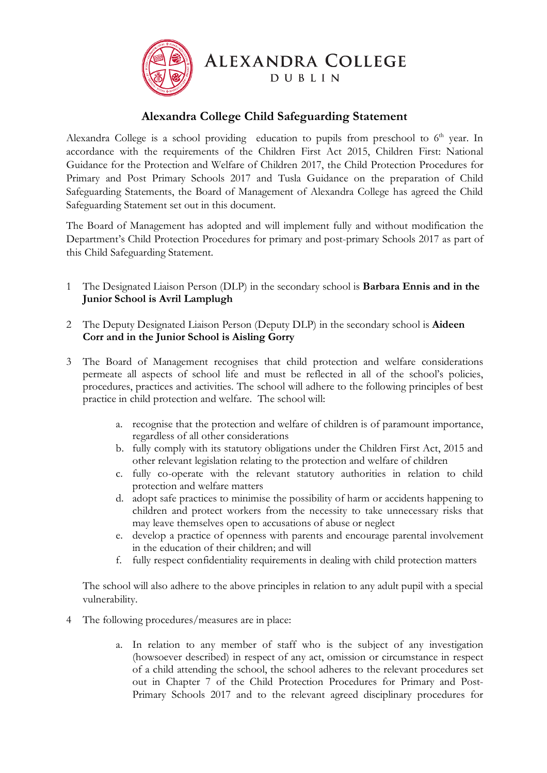

**ALEXANDRA COLLEGE** 

DUBLIN

## **Alexandra College Child Safeguarding Statement**

Alexandra College is a school providing education to pupils from preschool to  $6<sup>th</sup>$  year. In accordance with the requirements of the Children First Act 2015, Children First: National Guidance for the Protection and Welfare of Children 2017, the Child Protection Procedures for Primary and Post Primary Schools 2017 and Tusla Guidance on the preparation of Child Safeguarding Statements, the Board of Management of Alexandra College has agreed the Child Safeguarding Statement set out in this document.

The Board of Management has adopted and will implement fully and without modification the Department's Child Protection Procedures for primary and post-primary Schools 2017 as part of this Child Safeguarding Statement.

- 1 The Designated Liaison Person (DLP) in the secondary school is **Barbara Ennis and in the Junior School is Avril Lamplugh**
- 2 The Deputy Designated Liaison Person (Deputy DLP) in the secondary school is **Aideen Corr and in the Junior School is Aisling Gorry**
- 3 The Board of Management recognises that child protection and welfare considerations permeate all aspects of school life and must be reflected in all of the school's policies, procedures, practices and activities. The school will adhere to the following principles of best practice in child protection and welfare. The school will:
	- a. recognise that the protection and welfare of children is of paramount importance, regardless of all other considerations
	- b. fully comply with its statutory obligations under the Children First Act, 2015 and other relevant legislation relating to the protection and welfare of children
	- c. fully co-operate with the relevant statutory authorities in relation to child protection and welfare matters
	- d. adopt safe practices to minimise the possibility of harm or accidents happening to children and protect workers from the necessity to take unnecessary risks that may leave themselves open to accusations of abuse or neglect
	- e. develop a practice of openness with parents and encourage parental involvement in the education of their children; and will
	- f. fully respect confidentiality requirements in dealing with child protection matters

The school will also adhere to the above principles in relation to any adult pupil with a special vulnerability.

- 4 The following procedures/measures are in place:
	- a. In relation to any member of staff who is the subject of any investigation (howsoever described) in respect of any act, omission or circumstance in respect of a child attending the school, the school adheres to the relevant procedures set out in Chapter 7 of the Child Protection Procedures for Primary and Post-Primary Schools 2017 and to the relevant agreed disciplinary procedures for